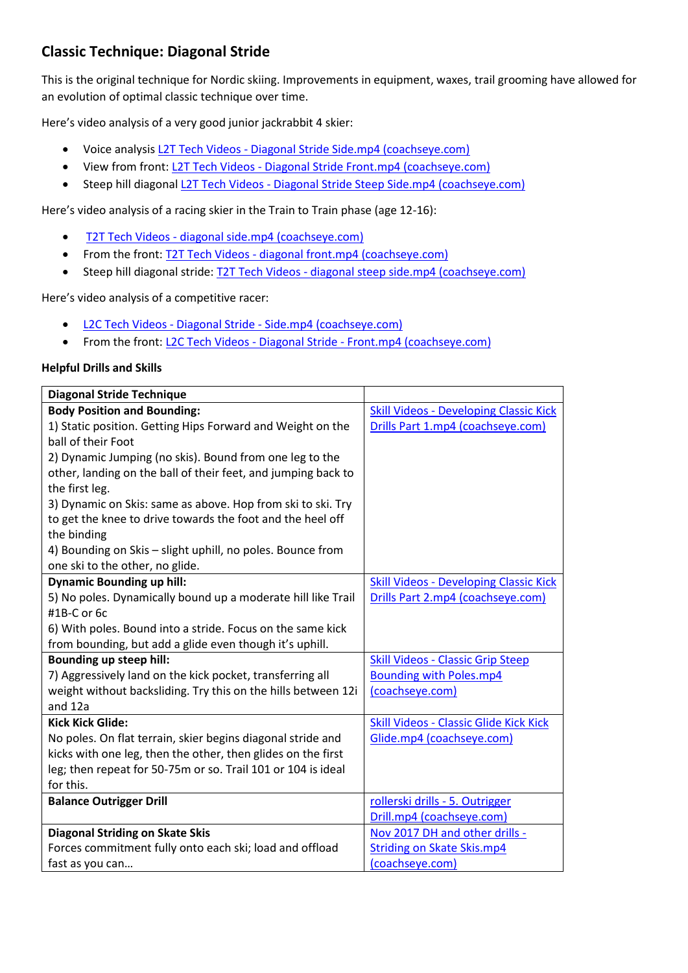# **Classic Technique: Diagonal Stride**

This is the original technique for Nordic skiing. Improvements in equipment, waxes, trail grooming have allowed for an evolution of optimal classic technique over time.

Here's video analysis of a very good junior jackrabbit 4 skier:

- Voice analysis L2T Tech Videos [Diagonal Stride Side.mp4 \(coachseye.com\)](https://www.coachseye.com/t/a9d5cc27b7434a018a8b3728ef30c7cd)
- View from front: L2T Tech Videos [Diagonal Stride Front.mp4 \(coachseye.com\)](https://www.coachseye.com/t/nV2X)
- Steep hill diagonal **L2T Tech Videos Diagonal Stride Steep Side.mp4** (coachseye.com)

Here's video analysis of a racing skier in the Train to Train phase (age 12-16):

- T2T Tech Videos [diagonal side.mp4 \(coachseye.com\)](https://www.coachseye.com/t/c72b21dfab824afc8df92553cb260c8c)
- From the front: T2T Tech Videos [diagonal front.mp4 \(coachseye.com\)](https://www.coachseye.com/t/9o3Y)
- Steep hill diagonal stride: T2T Tech Videos [diagonal steep side.mp4 \(coachseye.com\)](https://www.coachseye.com/t/696641b36d024628a79273d1a1ceaf13)

Here's video analysis of a competitive racer:

- L2C Tech Videos Diagonal Stride [Side.mp4 \(coachseye.com\)](https://www.coachseye.com/t/IwZV)
- From the front: L2C Tech Videos Diagonal Stride [Front.mp4 \(coachseye.com\)](https://www.coachseye.com/t/oLiI)

#### **Helpful Drills and Skills**

| <b>Diagonal Stride Technique</b>                              |                                               |
|---------------------------------------------------------------|-----------------------------------------------|
| <b>Body Position and Bounding:</b>                            | <b>Skill Videos - Developing Classic Kick</b> |
| 1) Static position. Getting Hips Forward and Weight on the    | Drills Part 1.mp4 (coachseye.com)             |
| ball of their Foot                                            |                                               |
| 2) Dynamic Jumping (no skis). Bound from one leg to the       |                                               |
| other, landing on the ball of their feet, and jumping back to |                                               |
| the first leg.                                                |                                               |
| 3) Dynamic on Skis: same as above. Hop from ski to ski. Try   |                                               |
| to get the knee to drive towards the foot and the heel off    |                                               |
| the binding                                                   |                                               |
| 4) Bounding on Skis - slight uphill, no poles. Bounce from    |                                               |
| one ski to the other, no glide.                               |                                               |
| <b>Dynamic Bounding up hill:</b>                              | <b>Skill Videos - Developing Classic Kick</b> |
| 5) No poles. Dynamically bound up a moderate hill like Trail  | Drills Part 2.mp4 (coachseye.com)             |
| #1B-C or 6c                                                   |                                               |
| 6) With poles. Bound into a stride. Focus on the same kick    |                                               |
| from bounding, but add a glide even though it's uphill.       |                                               |
| <b>Bounding up steep hill:</b>                                | <b>Skill Videos - Classic Grip Steep</b>      |
| 7) Aggressively land on the kick pocket, transferring all     | Bounding with Poles.mp4                       |
| weight without backsliding. Try this on the hills between 12i | (coachseye.com)                               |
| and 12a                                                       |                                               |
| <b>Kick Kick Glide:</b>                                       | <b>Skill Videos - Classic Glide Kick Kick</b> |
| No poles. On flat terrain, skier begins diagonal stride and   | Glide.mp4 (coachseye.com)                     |
| kicks with one leg, then the other, then glides on the first  |                                               |
| leg; then repeat for 50-75m or so. Trail 101 or 104 is ideal  |                                               |
| for this.                                                     |                                               |
| <b>Balance Outrigger Drill</b>                                | rollerski drills - 5. Outrigger               |
|                                                               | Drill.mp4 (coachseye.com)                     |
| <b>Diagonal Striding on Skate Skis</b>                        | Nov 2017 DH and other drills -                |
| Forces commitment fully onto each ski; load and offload       | <b>Striding on Skate Skis.mp4</b>             |
| fast as you can                                               | (coachseye.com)                               |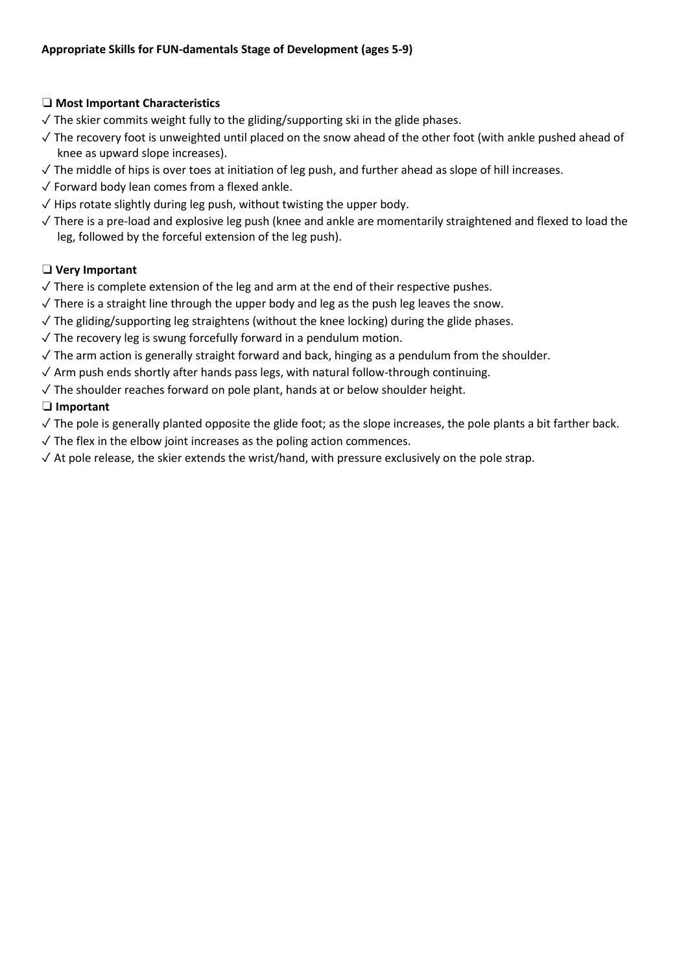# ❏ **Most Important Characteristics**

- $\sqrt{\ }$  The skier commits weight fully to the gliding/supporting ski in the glide phases.
- ✓ The recovery foot is unweighted until placed on the snow ahead of the other foot (with ankle pushed ahead of knee as upward slope increases).
- ✓ The middle of hips is over toes at initiation of leg push, and further ahead as slope of hill increases.
- $\sqrt{\ }$  Forward body lean comes from a flexed ankle.
- $\sqrt{ }$  Hips rotate slightly during leg push, without twisting the upper body.
- ✓ There is a pre-load and explosive leg push (knee and ankle are momentarily straightened and flexed to load the leg, followed by the forceful extension of the leg push).

# ❏ **Very Important**

- $\sqrt{ }$  There is complete extension of the leg and arm at the end of their respective pushes.
- $\sqrt{ }$  There is a straight line through the upper body and leg as the push leg leaves the snow.
- $\sqrt{\ }$  The gliding/supporting leg straightens (without the knee locking) during the glide phases.
- $\sqrt{\ }$  The recovery leg is swung forcefully forward in a pendulum motion.
- ✓ The arm action is generally straight forward and back, hinging as a pendulum from the shoulder.
- ✓ Arm push ends shortly after hands pass legs, with natural follow-through continuing.
- $\sqrt{\ }$  The shoulder reaches forward on pole plant, hands at or below shoulder height.

# ❏ **Important**

- $\sqrt{ }$  The pole is generally planted opposite the glide foot; as the slope increases, the pole plants a bit farther back.
- $\sqrt{ }$  The flex in the elbow joint increases as the poling action commences.
- $\sqrt{ }$  At pole release, the skier extends the wrist/hand, with pressure exclusively on the pole strap.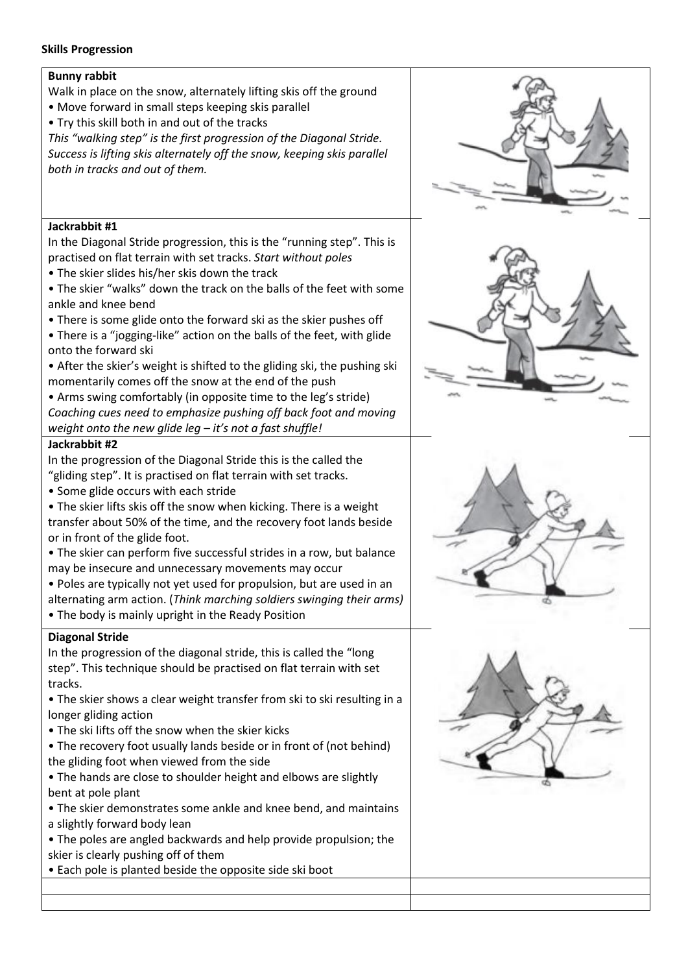## **Skills Progression**

#### **Bunny rabbit**

Walk in place on the snow, alternately lifting skis off the ground

- Move forward in small steps keeping skis parallel
- Try this skill both in and out of the tracks

*This "walking step" is the first progression of the Diagonal Stride. Success is lifting skis alternately off the snow, keeping skis parallel both in tracks and out of them.*

#### **Jackrabbit #1**

In the Diagonal Stride progression, this is the "running step". This is practised on flat terrain with set tracks. *Start without poles*

- The skier slides his/her skis down the track
- The skier "walks" down the track on the balls of the feet with some ankle and knee bend
- There is some glide onto the forward ski as the skier pushes off
- There is a "jogging-like" action on the balls of the feet, with glide onto the forward ski
- After the skier's weight is shifted to the gliding ski, the pushing ski momentarily comes off the snow at the end of the push
- Arms swing comfortably (in opposite time to the leg's stride) *Coaching cues need to emphasize pushing off back foot and moving weight onto the new glide leg – it's not a fast shuffle!*

## **Jackrabbit #2**

In the progression of the Diagonal Stride this is the called the "gliding step". It is practised on flat terrain with set tracks.

- Some glide occurs with each stride
- The skier lifts skis off the snow when kicking. There is a weight transfer about 50% of the time, and the recovery foot lands beside or in front of the glide foot.
- The skier can perform five successful strides in a row, but balance may be insecure and unnecessary movements may occur
- Poles are typically not yet used for propulsion, but are used in an alternating arm action. (*Think marching soldiers swinging their arms)*
- The body is mainly upright in the Ready Position

## **Diagonal Stride**

In the progression of the diagonal stride, this is called the "long step". This technique should be practised on flat terrain with set tracks.

• The skier shows a clear weight transfer from ski to ski resulting in a longer gliding action

• The ski lifts off the snow when the skier kicks

• The recovery foot usually lands beside or in front of (not behind) the gliding foot when viewed from the side

- The hands are close to shoulder height and elbows are slightly bent at pole plant
- The skier demonstrates some ankle and knee bend, and maintains a slightly forward body lean
- The poles are angled backwards and help provide propulsion; the skier is clearly pushing off of them
- Each pole is planted beside the opposite side ski boot

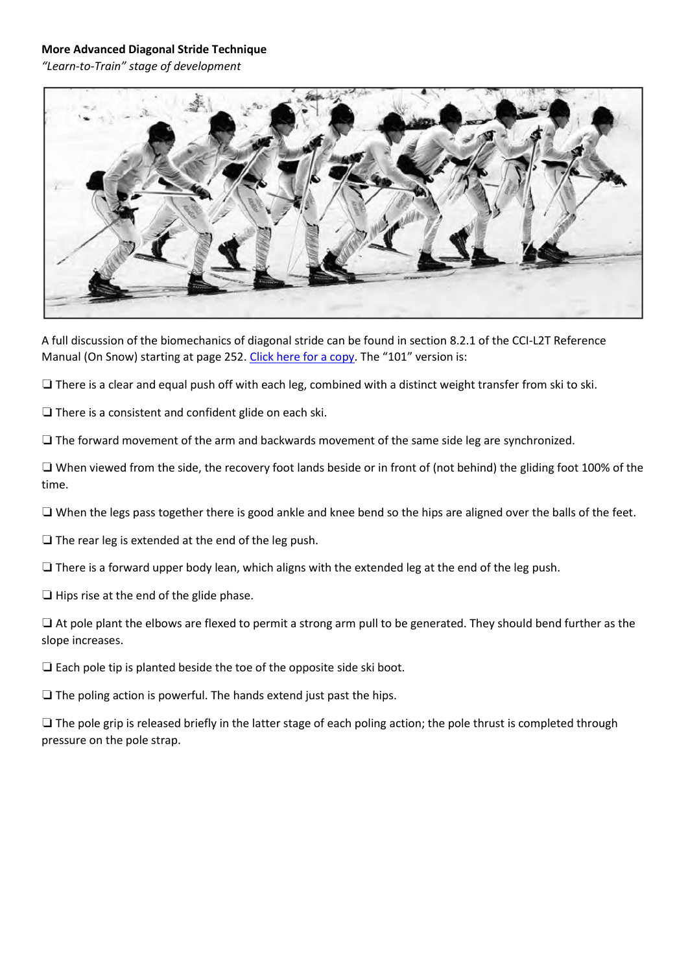## **More Advanced Diagonal Stride Technique**

*"Learn-to-Train" stage of development*



A full discussion of the biomechanics of diagonal stride can be found in section 8.2.1 of the CCI-L2T Reference Manual (On Snow) starting at page 252. [Click here for a copy.](http://www.kanatanordic.ca/wp-content/uploads/CCI-L2T-OS-RM-June-10-2014.pdf) The "101" version is:

❏ There is a clear and equal push off with each leg, combined with a distinct weight transfer from ski to ski.

❏ There is a consistent and confident glide on each ski.

❏ The forward movement of the arm and backwards movement of the same side leg are synchronized.

❏ When viewed from the side, the recovery foot lands beside or in front of (not behind) the gliding foot 100% of the time.

❏ When the legs pass together there is good ankle and knee bend so the hips are aligned over the balls of the feet.

❏ The rear leg is extended at the end of the leg push.

❏ There is a forward upper body lean, which aligns with the extended leg at the end of the leg push.

❏ Hips rise at the end of the glide phase.

❏ At pole plant the elbows are flexed to permit a strong arm pull to be generated. They should bend further as the slope increases.

❏ Each pole tip is planted beside the toe of the opposite side ski boot.

❏ The poling action is powerful. The hands extend just past the hips.

❏ The pole grip is released briefly in the latter stage of each poling action; the pole thrust is completed through pressure on the pole strap.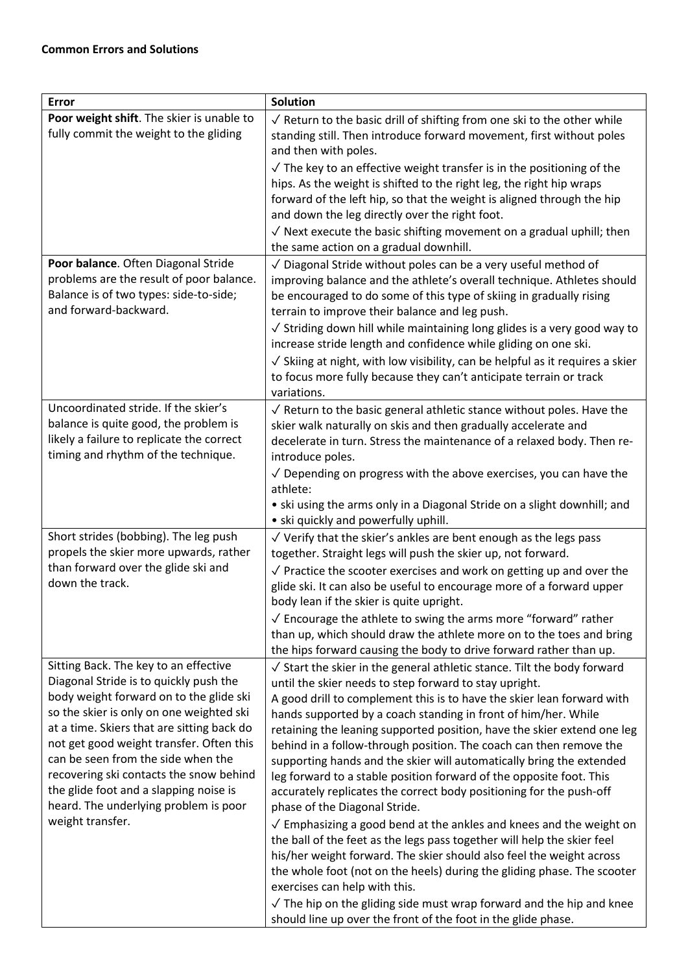| <b>Error</b>                                                                                                                                                                                                                                                                                                                                                                                                                                             | <b>Solution</b>                                                                                                                                                                                                                                                                                                                                                                                                                                                                                                                                                                                                                                                                                                                                                                                                                                                                                                                                                                                                                                                                                                                                                                                  |
|----------------------------------------------------------------------------------------------------------------------------------------------------------------------------------------------------------------------------------------------------------------------------------------------------------------------------------------------------------------------------------------------------------------------------------------------------------|--------------------------------------------------------------------------------------------------------------------------------------------------------------------------------------------------------------------------------------------------------------------------------------------------------------------------------------------------------------------------------------------------------------------------------------------------------------------------------------------------------------------------------------------------------------------------------------------------------------------------------------------------------------------------------------------------------------------------------------------------------------------------------------------------------------------------------------------------------------------------------------------------------------------------------------------------------------------------------------------------------------------------------------------------------------------------------------------------------------------------------------------------------------------------------------------------|
| Poor weight shift. The skier is unable to<br>fully commit the weight to the gliding                                                                                                                                                                                                                                                                                                                                                                      | $\sqrt{}$ Return to the basic drill of shifting from one ski to the other while<br>standing still. Then introduce forward movement, first without poles<br>and then with poles.                                                                                                                                                                                                                                                                                                                                                                                                                                                                                                                                                                                                                                                                                                                                                                                                                                                                                                                                                                                                                  |
|                                                                                                                                                                                                                                                                                                                                                                                                                                                          | $\sqrt{}$ The key to an effective weight transfer is in the positioning of the<br>hips. As the weight is shifted to the right leg, the right hip wraps<br>forward of the left hip, so that the weight is aligned through the hip<br>and down the leg directly over the right foot.                                                                                                                                                                                                                                                                                                                                                                                                                                                                                                                                                                                                                                                                                                                                                                                                                                                                                                               |
|                                                                                                                                                                                                                                                                                                                                                                                                                                                          | $\sqrt{}$ Next execute the basic shifting movement on a gradual uphill; then<br>the same action on a gradual downhill.                                                                                                                                                                                                                                                                                                                                                                                                                                                                                                                                                                                                                                                                                                                                                                                                                                                                                                                                                                                                                                                                           |
| Poor balance. Often Diagonal Stride<br>problems are the result of poor balance.<br>Balance is of two types: side-to-side;<br>and forward-backward.                                                                                                                                                                                                                                                                                                       | √ Diagonal Stride without poles can be a very useful method of<br>improving balance and the athlete's overall technique. Athletes should<br>be encouraged to do some of this type of skiing in gradually rising<br>terrain to improve their balance and leg push.<br>√ Striding down hill while maintaining long glides is a very good way to<br>increase stride length and confidence while gliding on one ski.<br>$\sqrt{\ }$ Skiing at night, with low visibility, can be helpful as it requires a skier<br>to focus more fully because they can't anticipate terrain or track<br>variations.                                                                                                                                                                                                                                                                                                                                                                                                                                                                                                                                                                                                 |
| Uncoordinated stride. If the skier's<br>balance is quite good, the problem is<br>likely a failure to replicate the correct<br>timing and rhythm of the technique.                                                                                                                                                                                                                                                                                        | $\sqrt{}$ Return to the basic general athletic stance without poles. Have the<br>skier walk naturally on skis and then gradually accelerate and<br>decelerate in turn. Stress the maintenance of a relaxed body. Then re-<br>introduce poles.<br>$\sqrt{}$ Depending on progress with the above exercises, you can have the<br>athlete:<br>• ski using the arms only in a Diagonal Stride on a slight downhill; and<br>• ski quickly and powerfully uphill.                                                                                                                                                                                                                                                                                                                                                                                                                                                                                                                                                                                                                                                                                                                                      |
| Short strides (bobbing). The leg push<br>propels the skier more upwards, rather<br>than forward over the glide ski and<br>down the track.                                                                                                                                                                                                                                                                                                                | $\sqrt{}$ Verify that the skier's ankles are bent enough as the legs pass<br>together. Straight legs will push the skier up, not forward.<br>$\sqrt{\ }$ Practice the scooter exercises and work on getting up and over the<br>glide ski. It can also be useful to encourage more of a forward upper<br>body lean if the skier is quite upright.<br>$\sqrt{\ }$ Encourage the athlete to swing the arms more "forward" rather<br>than up, which should draw the athlete more on to the toes and bring<br>the hips forward causing the body to drive forward rather than up.                                                                                                                                                                                                                                                                                                                                                                                                                                                                                                                                                                                                                      |
| Sitting Back. The key to an effective<br>Diagonal Stride is to quickly push the<br>body weight forward on to the glide ski<br>so the skier is only on one weighted ski<br>at a time. Skiers that are sitting back do<br>not get good weight transfer. Often this<br>can be seen from the side when the<br>recovering ski contacts the snow behind<br>the glide foot and a slapping noise is<br>heard. The underlying problem is poor<br>weight transfer. | $\sqrt{\ }$ Start the skier in the general athletic stance. Tilt the body forward<br>until the skier needs to step forward to stay upright.<br>A good drill to complement this is to have the skier lean forward with<br>hands supported by a coach standing in front of him/her. While<br>retaining the leaning supported position, have the skier extend one leg<br>behind in a follow-through position. The coach can then remove the<br>supporting hands and the skier will automatically bring the extended<br>leg forward to a stable position forward of the opposite foot. This<br>accurately replicates the correct body positioning for the push-off<br>phase of the Diagonal Stride.<br>$\sqrt{\ }$ Emphasizing a good bend at the ankles and knees and the weight on<br>the ball of the feet as the legs pass together will help the skier feel<br>his/her weight forward. The skier should also feel the weight across<br>the whole foot (not on the heels) during the gliding phase. The scooter<br>exercises can help with this.<br>$\sqrt{}$ The hip on the gliding side must wrap forward and the hip and knee<br>should line up over the front of the foot in the glide phase. |